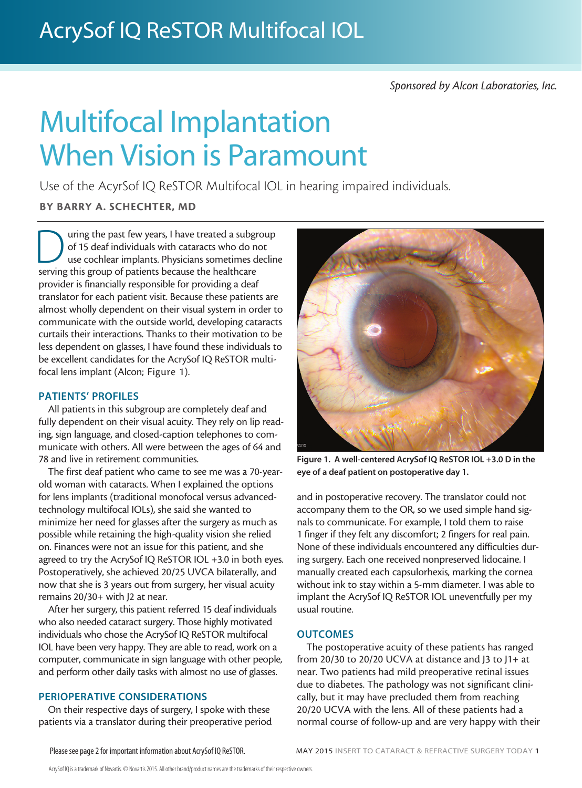## *Sponsored by Alcon Laboratories, Inc.*

# Multifocal Implantation When Vision is Paramount

Use of the AcyrSof IQ ReSTOR Multifocal IOL in hearing impaired individuals.

### BY BARRY A. SCHECHTER, MD

uring the past few years, I have treated a subgroup of 15 deaf individuals with cataracts who do not use cochlear implants. Physicians sometimes decline serving this group of patients because the healthcare provider is financially responsible for providing a deaf translator for each patient visit. Because these patients are almost wholly dependent on their visual system in order to communicate with the outside world, developing cataracts curtails their interactions. Thanks to their motivation to be less dependent on glasses, I have found these individuals to be excellent candidates for the AcrySof IQ ReSTOR multifocal lens implant (Alcon; Figure 1).

#### PATIENTS' PROFILES

All patients in this subgroup are completely deaf and fully dependent on their visual acuity. They rely on lip reading, sign language, and closed-caption telephones to communicate with others. All were between the ages of 64 and 78 and live in retirement communities.

The first deaf patient who came to see me was a 70-yearold woman with cataracts. When I explained the options for lens implants (traditional monofocal versus advancedtechnology multifocal IOLs), she said she wanted to minimize her need for glasses after the surgery as much as possible while retaining the high-quality vision she relied on. Finances were not an issue for this patient, and she agreed to try the AcrySof IQ ReSTOR IOL +3.0 in both eyes. Postoperatively, she achieved 20/25 UVCA bilaterally, and now that she is 3 years out from surgery, her visual acuity remains 20/30+ with J2 at near.

After her surgery, this patient referred 15 deaf individuals who also needed cataract surgery. Those highly motivated individuals who chose the AcrySof IQ ReSTOR multifocal IOL have been very happy. They are able to read, work on a computer, communicate in sign language with other people, and perform other daily tasks with almost no use of glasses.

#### PERIOPERATIVE CONSIDERATIONS

On their respective days of surgery, I spoke with these patients via a translator during their preoperative period



Figure 1. A well-centered AcrySof IQ ReSTOR IOL +3.0 D in the eye of a deaf patient on postoperative day 1.

and in postoperative recovery. The translator could not accompany them to the OR, so we used simple hand signals to communicate. For example, I told them to raise 1 finger if they felt any discomfort; 2 fingers for real pain. None of these individuals encountered any difficulties during surgery. Each one received nonpreserved lidocaine. I manually created each capsulorhexis, marking the cornea without ink to stay within a 5-mm diameter. I was able to implant the AcrySof IQ ReSTOR IOL uneventfully per my usual routine.

#### **OUTCOMES**

The postoperative acuity of these patients has ranged from 20/30 to 20/20 UCVA at distance and J3 to J1+ at near. Two patients had mild preoperative retinal issues due to diabetes. The pathology was not significant clinically, but it may have precluded them from reaching 20/20 UCVA with the lens. All of these patients had a normal course of follow-up and are very happy with their